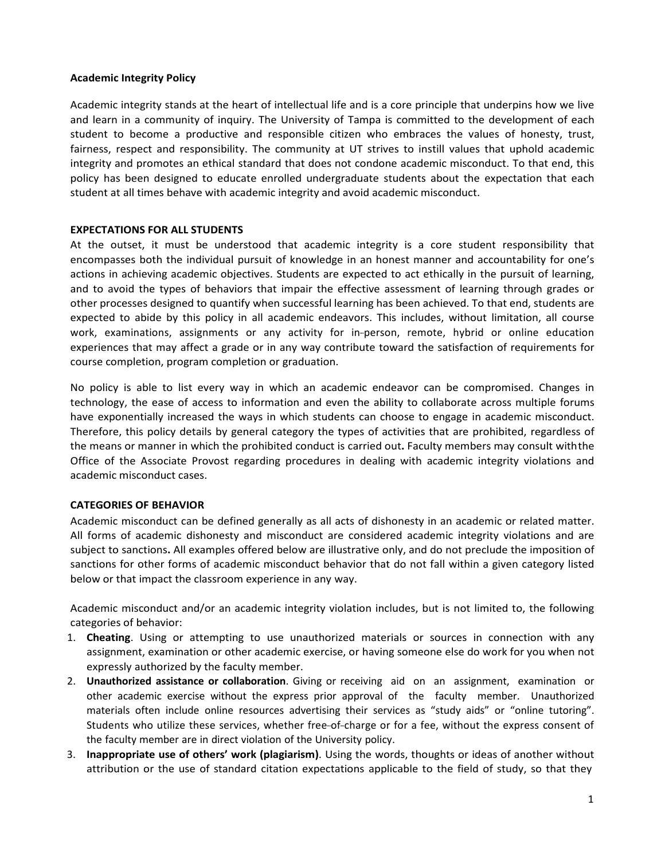#### **Academic Integrity Policy**

Academic integrity stands at the heart of intellectual life and is a core principle that underpins how we live and learn in a community of inquiry. The University of Tampa is committed to the development of each student to become a productive and responsible citizen who embraces the values of honesty, trust, fairness, respect and responsibility. The community at UT strives to instill values that uphold academic integrity and promotes an ethical standard that does not condone academic misconduct. To that end, this policy has been designed to educate enrolled undergraduate students about the expectation that each student at all times behave with academic integrity and avoid academic misconduct.

### **EXPECTATIONS FOR ALL STUDENTS**

At the outset, it must be understood that academic integrity is a core student responsibility that encompasses both the individual pursuit of knowledge in an honest manner and accountability for one's actions in achieving academic objectives. Students are expected to act ethically in the pursuit of learning, and to avoid the types of behaviors that impair the effective assessment of learning through grades or other processes designed to quantify when successful learning has been achieved. To that end, students are expected to abide by this policy in all academic endeavors. This includes, without limitation, all course work, examinations, assignments or any activity for in-person, remote, hybrid or online education experiences that may affect a grade or in any way contribute toward the satisfaction of requirements for course completion, program completion or graduation.

No policy is able to list every way in which an academic endeavor can be compromised. Changes in technology, the ease of access to information and even the ability to collaborate across multiple forums have exponentially increased the ways in which students can choose to engage in academic misconduct. Therefore, this policy details by general category the types of activities that are prohibited, regardless of the means or manner in which the prohibited conduct is carried out**.** Faculty members may consult withthe Office of the Associate Provost regarding procedures in dealing with academic integrity violations and academic misconduct cases.

## **CATEGORIES OF BEHAVIOR**

Academic misconduct can be defined generally as all acts of dishonesty in an academic or related matter. All forms of academic dishonesty and misconduct are considered academic integrity violations and are subject to sanctions**.** All examples offered below are illustrative only, and do not preclude the imposition of sanctions for other forms of academic misconduct behavior that do not fall within a given category listed below or that impact the classroom experience in any way.

Academic misconduct and/or an academic integrity violation includes, but is not limited to, the following categories of behavior:

- 1. **Cheating**. Using or attempting to use unauthorized materials or sources in connection with any assignment, examination or other academic exercise, or having someone else do work for you when not expressly authorized by the faculty member.
- 2. **Unauthorized assistance or collaboration**. Giving or receiving aid on an assignment, examination or other academic exercise without the express prior approval of the faculty member. Unauthorized materials often include online resources advertising their services as "study aids" or "online tutoring". Students who utilize these services, whether free-of-charge or for a fee, without the express consent of the faculty member are in direct violation of the University policy.
- 3. **Inappropriate use of others' work (plagiarism)**. Using the words, thoughts or ideas of another without attribution or the use of standard citation expectations applicable to the field of study, so that they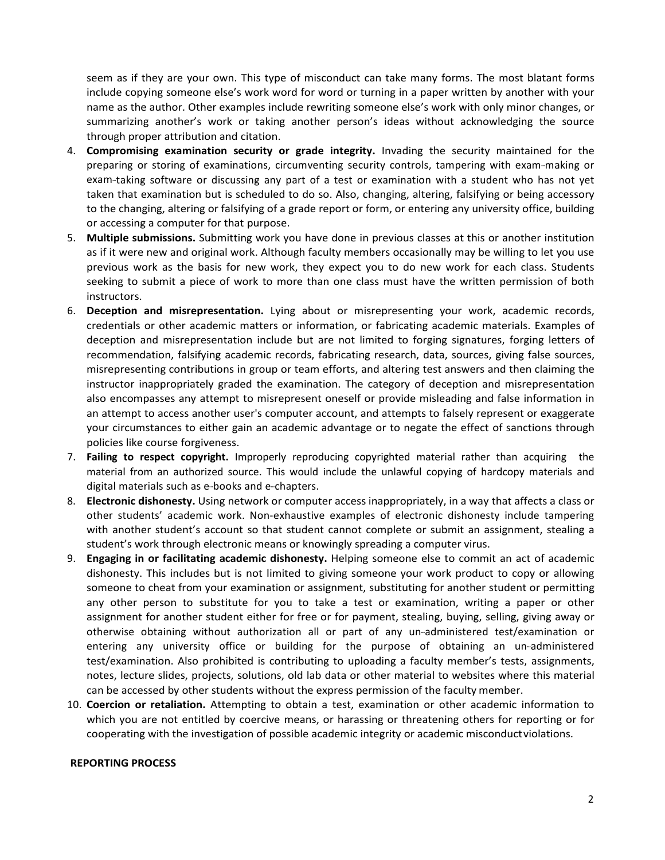seem as if they are your own. This type of misconduct can take many forms. The most blatant forms include copying someone else's work word for word or turning in a paper written by another with your name as the author. Other examples include rewriting someone else's work with only minor changes, or summarizing another's work or taking another person's ideas without acknowledging the source through proper attribution and citation.

- 4. **Compromising examination security or grade integrity.** Invading the security maintained for the preparing or storing of examinations, circumventing security controls, tampering with exam-making or exam-taking software or discussing any part of a test or examination with a student who has not yet taken that examination but is scheduled to do so. Also, changing, altering, falsifying or being accessory to the changing, altering or falsifying of a grade report or form, or entering any university office, building or accessing a computer for that purpose.
- 5. **Multiple submissions.** Submitting work you have done in previous classes at this or another institution as if it were new and original work. Although faculty members occasionally may be willing to let you use previous work as the basis for new work, they expect you to do new work for each class. Students seeking to submit a piece of work to more than one class must have the written permission of both instructors.
- 6. **Deception and misrepresentation.** Lying about or misrepresenting your work, academic records, credentials or other academic matters or information, or fabricating academic materials. Examples of deception and misrepresentation include but are not limited to forging signatures, forging letters of recommendation, falsifying academic records, fabricating research, data, sources, giving false sources, misrepresenting contributions in group or team efforts, and altering test answers and then claiming the instructor inappropriately graded the examination. The category of deception and misrepresentation also encompasses any attempt to misrepresent oneself or provide misleading and false information in an attempt to access another user's computer account, and attempts to falsely represent or exaggerate your circumstances to either gain an academic advantage or to negate the effect of sanctions through policies like course forgiveness.
- 7. **Failing to respect copyright.** Improperly reproducing copyrighted material rather than acquiring the material from an authorized source. This would include the unlawful copying of hardcopy materials and digital materials such as e-books and e-chapters.
- 8. **Electronic dishonesty.** Using network or computer access inappropriately, in a way that affects a class or other students' academic work. Non-exhaustive examples of electronic dishonesty include tampering with another student's account so that student cannot complete or submit an assignment, stealing a student's work through electronic means or knowingly spreading a computer virus.
- 9. **Engaging in or facilitating academic dishonesty.** Helping someone else to commit an act of academic dishonesty. This includes but is not limited to giving someone your work product to copy or allowing someone to cheat from your examination or assignment, substituting for another student or permitting any other person to substitute for you to take a test or examination, writing a paper or other assignment for another student either for free or for payment, stealing, buying, selling, giving away or otherwise obtaining without authorization all or part of any un-administered test/examination or entering any university office or building for the purpose of obtaining an un-administered test/examination. Also prohibited is contributing to uploading a faculty member's tests, assignments, notes, lecture slides, projects, solutions, old lab data or other material to websites where this material can be accessed by other students without the express permission of the faculty member.
- 10. **Coercion or retaliation.** Attempting to obtain a test, examination or other academic information to which you are not entitled by coercive means, or harassing or threatening others for reporting or for cooperating with the investigation of possible academic integrity or academic misconductviolations.

#### **REPORTING PROCESS**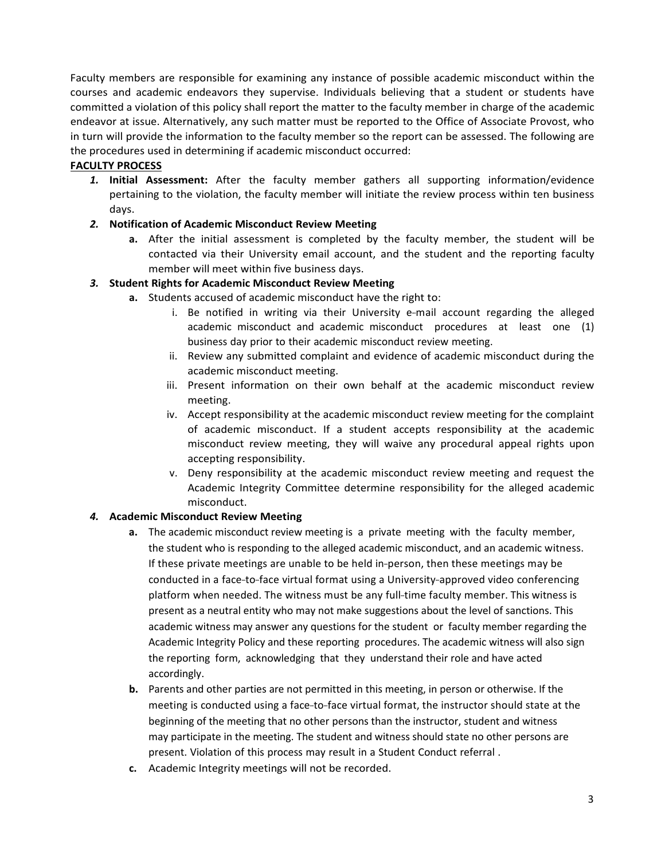Faculty members are responsible for examining any instance of possible academic misconduct within the courses and academic endeavors they supervise. Individuals believing that a student or students have committed a violation of this policy shall report the matter to the faculty member in charge of the academic endeavor at issue. Alternatively, any such matter must be reported to the Office of Associate Provost, who in turn will provide the information to the faculty member so the report can be assessed. The following are the procedures used in determining if academic misconduct occurred:

# **FACULTY PROCESS**

*1.* **Initial Assessment:** After the faculty member gathers all supporting information/evidence pertaining to the violation, the faculty member will initiate the review process within ten business days.

# *2.* **Notification of Academic Misconduct Review Meeting**

**a.** After the initial assessment is completed by the faculty member, the student will be contacted via their University email account, and the student and the reporting faculty member will meet within five business days.

# *3.* **Student Rights for Academic Misconduct Review Meeting**

- **a.** Students accused of academic misconduct have the right to:
	- i. Be notified in writing via their University e-mail account regarding the alleged academic misconduct and academic misconduct procedures at least one (1) business day prior to their academic misconduct review meeting.
	- ii. Review any submitted complaint and evidence of academic misconduct during the academic misconduct meeting.
	- iii. Present information on their own behalf at the academic misconduct review meeting.
	- iv. Accept responsibility at the academic misconduct review meeting for the complaint of academic misconduct. If a student accepts responsibility at the academic misconduct review meeting, they will waive any procedural appeal rights upon accepting responsibility.
	- v. Deny responsibility at the academic misconduct review meeting and request the Academic Integrity Committee determine responsibility for the alleged academic misconduct.

# *4.* **Academic Misconduct Review Meeting**

- **a.** The academic misconduct review meeting is a private meeting with the faculty member, the student who is responding to the alleged academic misconduct, and an academic witness. If these private meetings are unable to be held in-person, then these meetings may be conducted in a face-to-face virtual format using a University-approved video conferencing platform when needed. The witness must be any full-time faculty member. This witness is present as a neutral entity who may not make suggestions about the level of sanctions. This academic witness may answer any questions for the student or faculty member regarding the Academic Integrity Policy and these reporting procedures. The academic witness will also sign the reporting form, acknowledging that they understand their role and have acted accordingly.
- **b.** Parents and other parties are not permitted in this meeting, in person or otherwise. If the meeting is conducted using a face-to-face virtual format, the instructor should state at the beginning of the meeting that no other persons than the instructor, student and witness may participate in the meeting. The student and witness should state no other persons are present. Violation of this process may result in a Student Conduct referral .
- **c.** Academic Integrity meetings will not be recorded.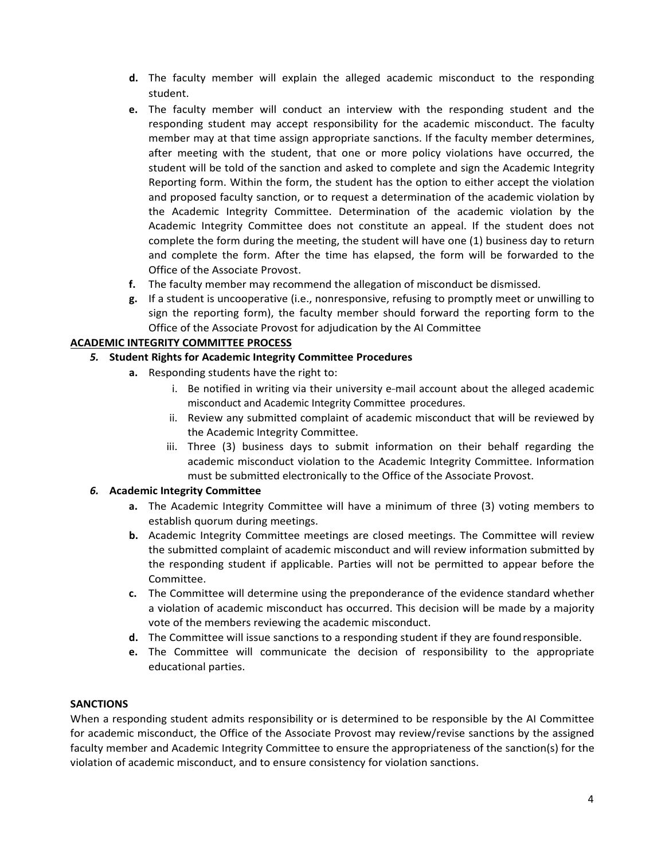- **d.** The faculty member will explain the alleged academic misconduct to the responding student.
- **e.** The faculty member will conduct an interview with the responding student and the responding student may accept responsibility for the academic misconduct. The faculty member may at that time assign appropriate sanctions. If the faculty member determines, after meeting with the student, that one or more policy violations have occurred, the student will be told of the sanction and asked to complete and sign the Academic Integrity Reporting form. Within the form, the student has the option to either accept the violation and proposed faculty sanction, or to request a determination of the academic violation by the Academic Integrity Committee. Determination of the academic violation by the Academic Integrity Committee does not constitute an appeal. If the student does not complete the form during the meeting, the student will have one (1) business day to return and complete the form. After the time has elapsed, the form will be forwarded to the Office of the Associate Provost.
- **f.** The faculty member may recommend the allegation of misconduct be dismissed.
- **g.** If a student is uncooperative (i.e., nonresponsive, refusing to promptly meet or unwilling to sign the reporting form), the faculty member should forward the reporting form to the Office of the Associate Provost for adjudication by the AI Committee

### **ACADEMIC INTEGRITY COMMITTEE PROCESS**

- *5.* **Student Rights for Academic Integrity Committee Procedures**
	- **a.** Responding students have the right to:
		- i. Be notified in writing via their university e-mail account about the alleged academic misconduct and Academic Integrity Committee procedures.
		- ii. Review any submitted complaint of academic misconduct that will be reviewed by the Academic Integrity Committee.
		- iii. Three (3) business days to submit information on their behalf regarding the academic misconduct violation to the Academic Integrity Committee. Information must be submitted electronically to the Office of the Associate Provost.

## *6.* **Academic Integrity Committee**

- **a.** The Academic Integrity Committee will have a minimum of three (3) voting members to establish quorum during meetings.
- **b.** Academic Integrity Committee meetings are closed meetings. The Committee will review the submitted complaint of academic misconduct and will review information submitted by the responding student if applicable. Parties will not be permitted to appear before the Committee.
- **c.** The Committee will determine using the preponderance of the evidence standard whether a violation of academic misconduct has occurred. This decision will be made by a majority vote of the members reviewing the academic misconduct.
- **d.** The Committee will issue sanctions to a responding student if they are foundresponsible.
- **e.** The Committee will communicate the decision of responsibility to the appropriate educational parties.

#### **SANCTIONS**

When a responding student admits responsibility or is determined to be responsible by the AI Committee for academic misconduct, the Office of the Associate Provost may review/revise sanctions by the assigned faculty member and Academic Integrity Committee to ensure the appropriateness of the sanction(s) for the violation of academic misconduct, and to ensure consistency for violation sanctions.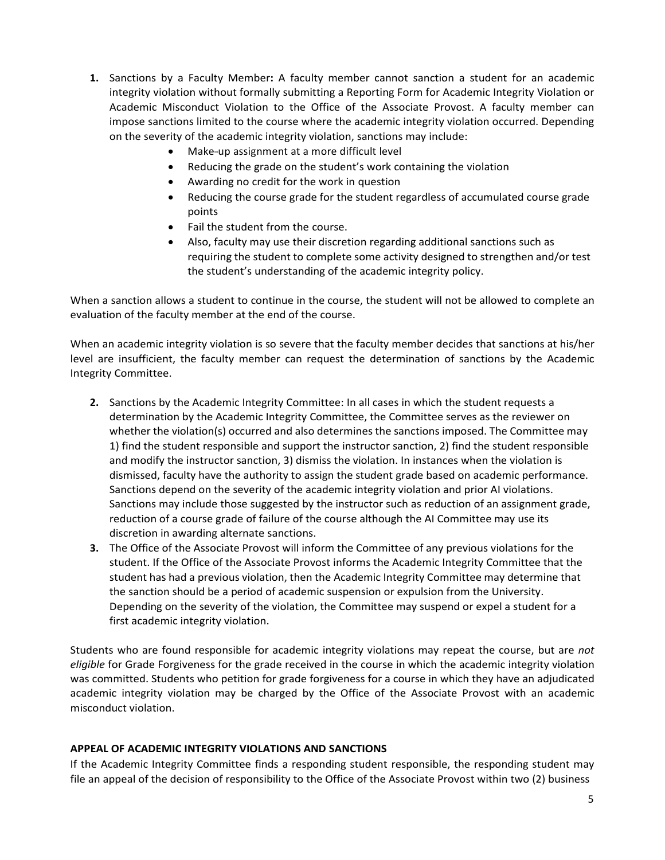- **1.** Sanctions by a Faculty Member**:** A faculty member cannot sanction a student for an academic integrity violation without formally submitting a Reporting Form for Academic Integrity Violation or Academic Misconduct Violation to the Office of the Associate Provost. A faculty member can impose sanctions limited to the course where the academic integrity violation occurred. Depending on the severity of the academic integrity violation, sanctions may include:
	- Make-up assignment at a more difficult level
	- Reducing the grade on the student's work containing the violation
	- Awarding no credit for the work in question
	- Reducing the course grade for the student regardless of accumulated course grade points
	- Fail the student from the course.
	- Also, faculty may use their discretion regarding additional sanctions such as requiring the student to complete some activity designed to strengthen and/or test the student's understanding of the academic integrity policy.

When a sanction allows a student to continue in the course, the student will not be allowed to complete an evaluation of the faculty member at the end of the course.

When an academic integrity violation is so severe that the faculty member decides that sanctions at his/her level are insufficient, the faculty member can request the determination of sanctions by the Academic Integrity Committee.

- **2.** Sanctions by the Academic Integrity Committee: In all cases in which the student requests a determination by the Academic Integrity Committee, the Committee serves as the reviewer on whether the violation(s) occurred and also determines the sanctions imposed. The Committee may 1) find the student responsible and support the instructor sanction, 2) find the student responsible and modify the instructor sanction, 3) dismiss the violation. In instances when the violation is dismissed, faculty have the authority to assign the student grade based on academic performance. Sanctions depend on the severity of the academic integrity violation and prior AI violations. Sanctions may include those suggested by the instructor such as reduction of an assignment grade, reduction of a course grade of failure of the course although the AI Committee may use its discretion in awarding alternate sanctions.
- **3.** The Office of the Associate Provost will inform the Committee of any previous violations for the student. If the Office of the Associate Provost informs the Academic Integrity Committee that the student has had a previous violation, then the Academic Integrity Committee may determine that the sanction should be a period of academic suspension or expulsion from the University. Depending on the severity of the violation, the Committee may suspend or expel a student for a first academic integrity violation.

Students who are found responsible for academic integrity violations may repeat the course, but are *not eligible* for Grade Forgiveness for the grade received in the course in which the academic integrity violation was committed. Students who petition for grade forgiveness for a course in which they have an adjudicated academic integrity violation may be charged by the Office of the Associate Provost with an academic misconduct violation.

## **APPEAL OF ACADEMIC INTEGRITY VIOLATIONS AND SANCTIONS**

If the Academic Integrity Committee finds a responding student responsible, the responding student may file an appeal of the decision of responsibility to the Office of the Associate Provost within two (2) business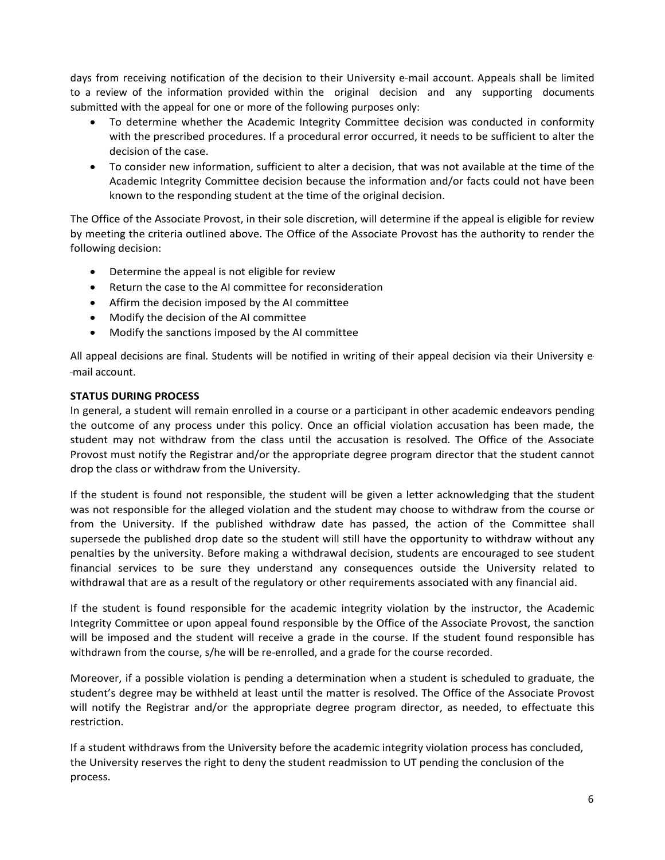days from receiving notification of the decision to their University e-mail account. Appeals shall be limited to a review of the information provided within the original decision and any supporting documents submitted with the appeal for one or more of the following purposes only:

- To determine whether the Academic Integrity Committee decision was conducted in conformity with the prescribed procedures. If a procedural error occurred, it needs to be sufficient to alter the decision of the case.
- To consider new information, sufficient to alter a decision, that was not available at the time of the Academic Integrity Committee decision because the information and/or facts could not have been known to the responding student at the time of the original decision.

The Office of the Associate Provost, in their sole discretion, will determine if the appeal is eligible for review by meeting the criteria outlined above. The Office of the Associate Provost has the authority to render the following decision:

- Determine the appeal is not eligible for review
- Return the case to the AI committee for reconsideration
- Affirm the decision imposed by the AI committee
- Modify the decision of the AI committee
- Modify the sanctions imposed by the AI committee

All appeal decisions are final. Students will be notified in writing of their appeal decision via their University e- --mail account.

## **STATUS DURING PROCESS**

In general, a student will remain enrolled in a course or a participant in other academic endeavors pending the outcome of any process under this policy. Once an official violation accusation has been made, the student may not withdraw from the class until the accusation is resolved. The Office of the Associate Provost must notify the Registrar and/or the appropriate degree program director that the student cannot drop the class or withdraw from the University.

If the student is found not responsible, the student will be given a letter acknowledging that the student was not responsible for the alleged violation and the student may choose to withdraw from the course or from the University. If the published withdraw date has passed, the action of the Committee shall supersede the published drop date so the student will still have the opportunity to withdraw without any penalties by the university. Before making a withdrawal decision, students are encouraged to see student financial services to be sure they understand any consequences outside the University related to withdrawal that are as a result of the regulatory or other requirements associated with any financial aid.

If the student is found responsible for the academic integrity violation by the instructor, the Academic Integrity Committee or upon appeal found responsible by the Office of the Associate Provost, the sanction will be imposed and the student will receive a grade in the course. If the student found responsible has withdrawn from the course, s/he will be re-enrolled, and a grade for the course recorded.

Moreover, if a possible violation is pending a determination when a student is scheduled to graduate, the student's degree may be withheld at least until the matter is resolved. The Office of the Associate Provost will notify the Registrar and/or the appropriate degree program director, as needed, to effectuate this restriction.

If a student withdraws from the University before the academic integrity violation process has concluded, the University reserves the right to deny the student readmission to UT pending the conclusion of the process.